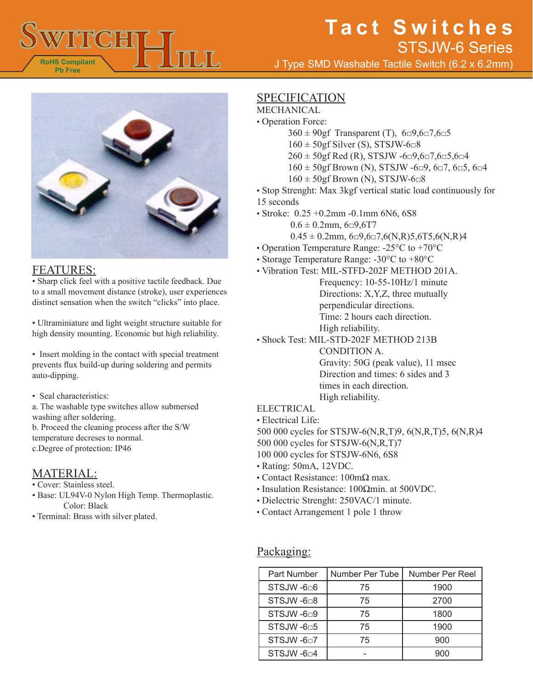



#### FEATURES:

• Sharp click feel with a positive tactile feedback. Due to a small movement distance (stroke), user experiences distinct sensation when the switch "clicks" into place.

• Ultraminiature and light weight structure suitable for high density mounting. Economic but high reliability.

• Insert molding in the contact with special treatment prevents flux build-up during soldering and permits auto-dipping.

• Seal characteristics:

a. The washable type switches allow submersed washing after soldering.

b. Proceed the cleaning process after the S/W temperature decreses to normal. c.Degree of protection: IP46

### MATERIAL:

- Cover: Stainless steel.
- Base: UL94V-0 Nylon High Temp. Thermoplastic. Color: Black
- Terminal: Brass with silver plated.

## SPECIFICATION

- MECHANICAL
- Operation Force:
	- $360 \pm 90$ gf Transparent (T),  $6\Box 9, 6\Box 7, 6\Box 5$
	- $160 \pm 50$ gf Silver (S), STSJW-6 $\Box$ 8
	- $260 \pm 50$ gf Red (R), STSJW -6 $\Box$ 9,6 $\Box$ 7,6 $\Box$ 5,6 $\Box$ 4
	- $160 \pm 50$ gf Brown (N), STSJW -6 $\Box$ 9, 6 $\Box$ 7, 6 $\Box$ 5, 6 $\Box$ 4
	- $160 \pm 50$ gf Brown (N), STSJW-6 $\Box$ 8
- Stop Strenght: Max 3kgf vertical static load continuously for 15 seconds
- Stroke: 0.25 +0.2mm -0.1mm 6N6, 6S8
	- $0.6 \pm 0.2$ mm,  $6\square 9.6$ T7
	- $0.45 \pm 0.2$ mm,  $6\Box 9.6\Box 7.6(N,R)5.6T5.6(N,R)4$
- Operation Temperature Range: -25°C to +70°C
- Storage Temperature Range: -30°C to +80°C
- Vibration Test: MIL-STFD-202F METHOD 201A.
	- Frequency: 10-55-10Hz/1 minute Directions: X,Y,Z, three mutually perpendicular directions. Time: 2 hours each direction. High reliability.
- Shock Test: MIL-STD-202F METHOD 213B

CONDITION A. Gravity: 50G (peak value), 11 msec Direction and times: 6 sides and 3 times in each direction. High reliability.

#### ELECTRICAL

- Electrical Life:
- 500 000 cycles for STSJW-6(N,R,T)9, 6(N,R,T)5, 6(N,R)4
- 500 000 cycles for STSJW-6(N,R,T)7
- 100 000 cycles for STSJW-6N6, 6S8
- Rating: 50mA, 12VDC.
- Contact Resistance: 100mΩ max.
- Insulation Resistance: 100Ωmin. at 500VDC.
- Dielectric Strenght: 250VAC/1 minute.
- Contact Arrangement 1 pole 1 throw

### Packaging:

| Part Number            | Number Per Tube | Number Per Reel |
|------------------------|-----------------|-----------------|
| STSJW-606              | 75              | 1900            |
| STSJW-6□8              | 75              | 2700            |
| STSJW-6 <sup>D9</sup>  | 75              | 1800            |
| STSJW-6 <sup>D</sup> 5 | 75              | 1900            |
| STSJW-6 $0$ 7          | 75              | 900             |
| STSJW -6□4             |                 | 900             |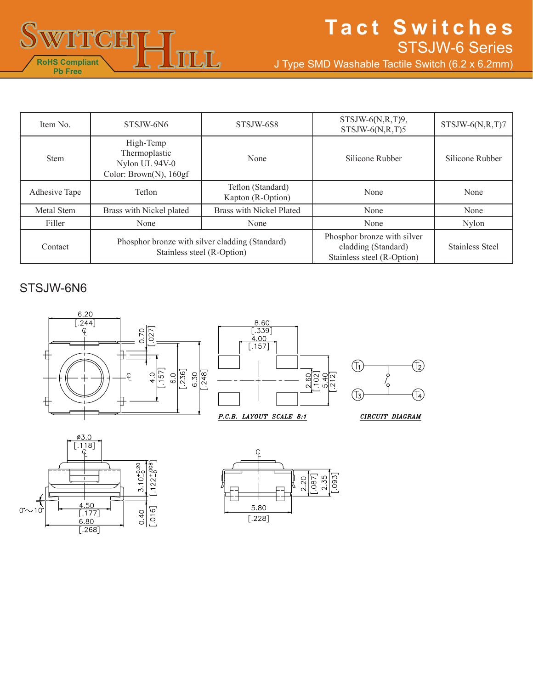

# **Tact Switches** STSJW-6 Series

T4)

J Type SMD Washable Tactile Switch (6.2 x 6.2mm)

| Item No.      | STSJW-6N6                                                                     | STSJW-6S8                              | $STSIW-6(N,R,T)9$ ,<br>$STSIW-6(N,R,T)5$                                         | $STSIW-6(N,R,T)7$      |
|---------------|-------------------------------------------------------------------------------|----------------------------------------|----------------------------------------------------------------------------------|------------------------|
| <b>Stem</b>   | High-Temp<br>Thermoplastic<br>Nylon UL 94V-0<br>Color: Brown(N), 160gf        | None                                   | Silicone Rubber                                                                  | Silicone Rubber        |
| Adhesive Tape | Teflon                                                                        | Teflon (Standard)<br>Kapton (R-Option) | None                                                                             | None                   |
| Metal Stem    | Brass with Nickel plated                                                      | Brass with Nickel Plated               | None                                                                             | None                   |
| Filler        | None                                                                          | None                                   | None                                                                             | <b>Nylon</b>           |
| Contact       | Phosphor bronze with silver cladding (Standard)<br>Stainless steel (R-Option) |                                        | Phosphor bronze with silver<br>cladding (Standard)<br>Stainless steel (R-Option) | <b>Stainless Steel</b> |

## STSJW-6N6





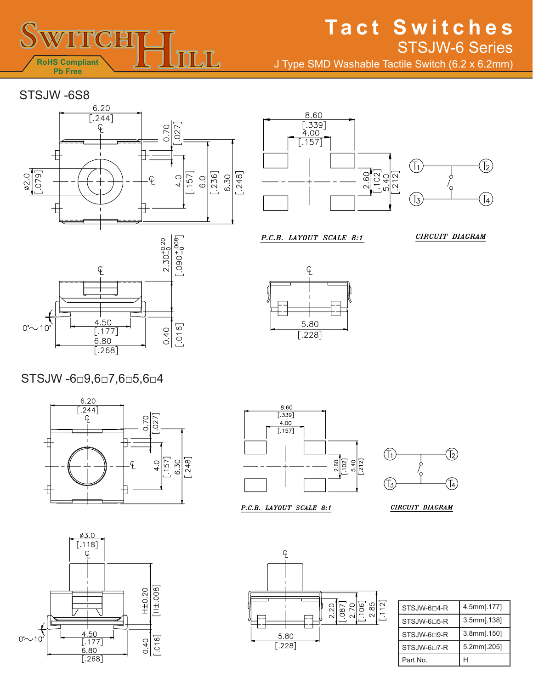

# **Tact Switches** J Type SMD Washable Tactile Switch (6.2 x 6.2mm) STSJW-6 Series

STSJW -6S8





P.C.B. LAYOUT SCALE 8:1







## STSJW -6□9,6□7,6□5,6□4





P.C.B. LAYOUT SCALE 8:1



CIRCUIT DIAGRAM





| STSJW-6⊡4-R              | 4.5mm[.177] |  |
|--------------------------|-------------|--|
| STSJW-6□5-R              | 3.5mm[.138] |  |
| STSJW-6⊓9-R              | 3.8mm[.150] |  |
| STSJW-6 <sup>D7</sup> -R | 5.2mm[.205] |  |
| Part No.                 |             |  |